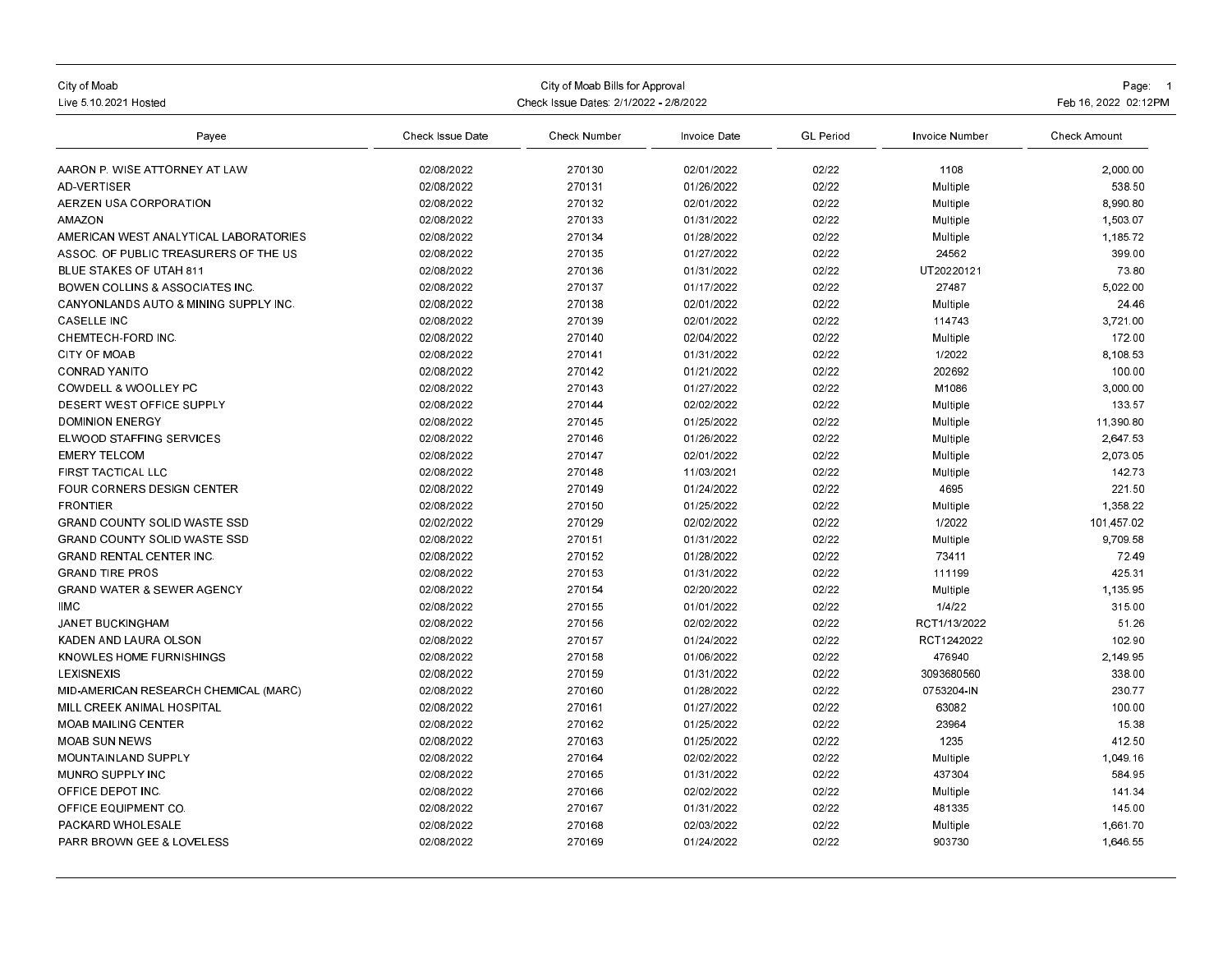| City of Moab<br>Live 5.10.2021 Hosted            | Check Issue Dates: 2/1/2022 - 2/8/2022 | Page: 1<br>Feb 16, 2022 02:12 PM |              |                  |                 |                     |
|--------------------------------------------------|----------------------------------------|----------------------------------|--------------|------------------|-----------------|---------------------|
| Payee                                            | Check Issue Date                       | Check Number                     | Invoice Date | <b>GL</b> Period | Invoice Number  | <b>Check Amount</b> |
| AARON P. WISE ATTORNEY AT LAW                    | 02/08/2022                             | 270130                           | 02/01/2022   | 02/22            | 1108            | 2,000.00            |
| <b>AD-VERTISER</b>                               | 02/08/2022                             | 270131                           | 01/26/2022   | 02/22            | Multiple        | 538.50              |
| AERZEN USA CORPORATION                           | 02/08/2022                             | 270132                           | 02/01/2022   | 02/22            | Multiple        | 8,990.80            |
| <b>AMAZON</b>                                    | 02/08/2022                             | 270133                           | 01/31/2022   | 02/22            | Multiple        | 1,503.07            |
| AMERICAN WEST ANALYTICAL LABORATORIES            | 02/08/2022                             | 270134                           | 01/28/2022   | 02/22            | Multiple        | 1,185.72            |
| ASSOC, OF PUBLIC TREASURERS OF THE US            | 02/08/2022                             | 270135                           | 01/27/2022   | 02/22            | 24562           | 399.00              |
| <b>BLUE STAKES OF UTAH 811</b>                   | 02/08/2022                             | 270136                           | 01/31/2022   | 02/22            | UT20220121      | 73.80               |
| <b>BOWEN COLLINS &amp; ASSOCIATES INC.</b>       | 02/08/2022                             | 270137                           | 01/17/2022   | 02/22            | 27487           | 5,022.00            |
| <b>CANYONLANDS AUTO &amp; MINING SUPPLY INC.</b> | 02/08/2022                             | 270138                           | 02/01/2022   | 02/22            | Multiple        | 24.46               |
| <b>CASELLE INC</b>                               | 02/08/2022                             | 270139                           | 02/01/2022   | 02/22            | 114743          | 3,721.00            |
| CHEMTECH-FORD INC                                | 02/08/2022                             | 270140                           | 02/04/2022   | 02/22            | Multiple        | 172.00              |
| <b>CITY OF MOAB</b>                              | 02/08/2022                             | 270141                           | 01/31/2022   | 02/22            | 1/2022          | 8,108.53            |
| <b>CONRAD YANITO</b>                             | 02/08/2022                             | 270142                           | 01/21/2022   | 02/22            | 202692          | 100.00              |
| <b>COWDELL &amp; WOOLLEY PC</b>                  | 02/08/2022                             | 270143                           | 01/27/2022   | 02/22            | M1086           | 3,000.00            |
| DESERT WEST OFFICE SUPPLY                        | 02/08/2022                             | 270144                           | 02/02/2022   | 02/22            | Multiple        | 133.57              |
| <b>DOMINION ENERGY</b>                           | 02/08/2022                             | 270145                           | 01/25/2022   | 02/22            | Multiple        | 11.390.80           |
| <b>ELWOOD STAFFING SERVICES</b>                  | 02/08/2022                             | 270146                           | 01/26/2022   | 02/22            | Multiple        | 2.647.53            |
| <b>EMERY TELCOM</b>                              | 02/08/2022                             | 270147                           | 02/01/2022   | 02/22            | Multiple        | 2.073.05            |
| FIRST TACTICAL LLC                               | 02/08/2022                             | 270148                           | 11/03/2021   | 02/22            | Multiple        | 142.73              |
| FOUR CORNERS DESIGN CENTER                       | 02/08/2022                             | 270149                           | 01/24/2022   | 02/22            | 4695            | 221.50              |
| <b>FRONTIER</b>                                  | 02/08/2022                             | 270150                           | 01/25/2022   | 02/22            | Multiple        | 1,358.22            |
| <b>GRAND COUNTY SOLID WASTE SSD</b>              | 02/02/2022                             | 270129                           | 02/02/2022   | 02/22            | 1/2022          | 101,457.02          |
| <b>GRAND COUNTY SOLID WASTE SSD</b>              | 02/08/2022                             | 270151                           | 01/31/2022   | 02/22            | Multiple        | 9,709.58            |
| <b>GRAND RENTAL CENTER INC.</b>                  | 02/08/2022                             | 270152                           | 01/28/2022   | 02/22            | 73411           | 72.49               |
| <b>GRAND TIRE PROS</b>                           | 02/08/2022                             | 270153                           | 01/31/2022   | 02/22            | 111199          | 425 31              |
| <b>GRAND WATER &amp; SEWER AGENCY</b>            | 02/08/2022                             | 270154                           | 02/20/2022   | 02/22            | Multiple        | 1,135.95            |
| <b>IIMC</b>                                      | 02/08/2022                             | 270155                           | 01/01/2022   | 02/22            | 1/4/22          | 315.00              |
| <b>JANET BUCKINGHAM</b>                          | 02/08/2022                             | 270156                           | 02/02/2022   | 02/22            | RCT1/13/2022    | 51.26               |
| KADEN AND LAURA OLSON                            | 02/08/2022                             | 270157                           | 01/24/2022   | 02/22            | RCT1242022      | 102.90              |
| <b>KNOWLES HOME FURNISHINGS</b>                  | 02/08/2022                             | 270158                           | 01/06/2022   | 02/22            | 476940          | 2.149.95            |
| LEXISNEXIS                                       | 02/08/2022                             | 270159                           | 01/31/2022   | 02/22            | 3093680560      | 338.00              |
| MID-AMERICAN RESEARCH CHEMICAL (MARC)            | 02/08/2022                             | 270160                           | 01/28/2022   | 02/22            | 0753204-IN      | 230.77              |
| MILL CREEK ANIMAL HOSPITAL                       | 02/08/2022                             | 270161                           | 01/27/2022   | 02/22            | 63082           | 100.00              |
| <b>MOAB MAILING CENTER</b>                       | 02/08/2022                             | 270162                           | 01/25/2022   | 02/22            | 23964           | 15.38               |
| <b>MOAB SUN NEWS</b>                             | 02/08/2022                             | 270163                           | 01/25/2022   | 02/22            | 1235            | 412.50              |
| MOUNTAINLAND SUPPLY                              | 02/08/2022                             | 270164                           | 02/02/2022   | 02/22            | <b>Multiple</b> | 1,049.16            |
| MUNRO SUPPLY INC                                 | 02/08/2022                             | 270165                           | 01/31/2022   | 02/22            | 437304          | 584.95              |
| OFFICE DEPOT INC                                 | 02/08/2022                             | 270166                           | 02/02/2022   | 02/22            | Multiple        | 141.34              |
| OFFICE EQUIPMENT CO                              | 02/08/2022                             | 270167                           | 01/31/2022   | 02/22            | 481335          | 145.00              |
| PACKARD WHOLESALE                                | 02/08/2022                             | 270168                           | 02/03/2022   | 02/22            | Multiple        | 1.661.70            |
| <b>PARR BROWN GEE &amp; LOVELESS</b>             | 02/08/2022                             | 270169                           | 01/24/2022   | 02/22            | 903730          | 1,646.55            |